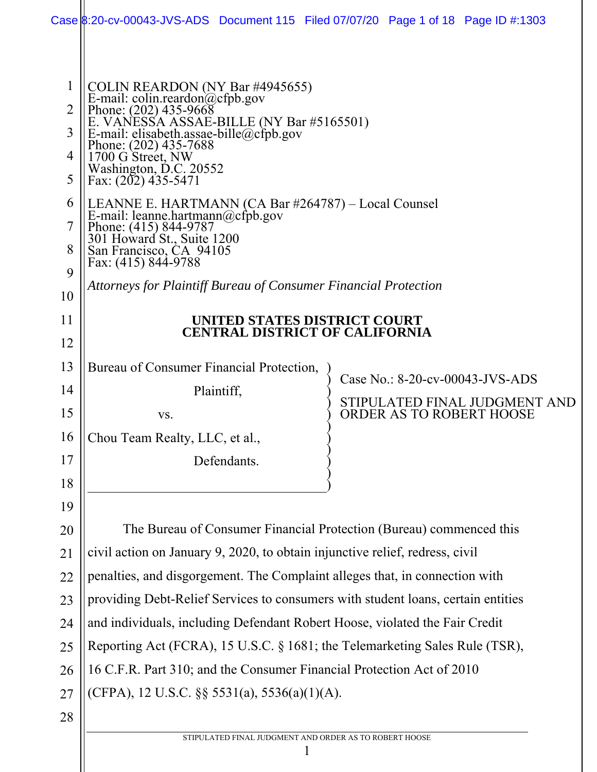|                                               |                                                                                                                                                                                                                                                                                 | Case 8:20-cv-00043-JVS-ADS Document 115 Filed 07/07/20 Page 1 of 18 Page ID #:1303 |
|-----------------------------------------------|---------------------------------------------------------------------------------------------------------------------------------------------------------------------------------------------------------------------------------------------------------------------------------|------------------------------------------------------------------------------------|
| $\mathbf{1}$<br>$\overline{2}$<br>3<br>4<br>5 | COLIN REARDON (NY Bar #4945655)<br>E-mail: colin.reardon@cfpb.gov<br>Phone: (202) 435-9668<br>E. VANESSA ASSAE-BILLE (NY Bar #5165501)<br>E-mail: elisabeth.assae-bille@cfpb.gov<br>Phone: (202) 435-7688<br>1700 G Street, NW<br>Washington, D.C. 20552<br>Fax: (202) 435-5471 |                                                                                    |
| 6<br>7<br>8<br>9                              | LEANNE E. HARTMANN (CA Bar #264787) - Local Counsel<br>E-mail: leanne.hartmann@cfpb.gov<br>Phone: (415) 844-9787<br>301 Howard St., Suite 1200<br>San Francisco, CA 94105<br>Fax: (415) 844-9788                                                                                |                                                                                    |
| 10                                            | Attorneys for Plaintiff Bureau of Consumer Financial Protection                                                                                                                                                                                                                 |                                                                                    |
| 11                                            |                                                                                                                                                                                                                                                                                 | UNITED STATES DISTRICT COURT                                                       |
| 12                                            |                                                                                                                                                                                                                                                                                 | <b>CENTRAL DISTRICT OF CALIFORNIA</b>                                              |
| 13                                            | Bureau of Consumer Financial Protection,                                                                                                                                                                                                                                        |                                                                                    |
| 14                                            | Plaintiff,                                                                                                                                                                                                                                                                      | Case No.: 8-20-cv-00043-JVS-ADS                                                    |
| 15                                            | VS.                                                                                                                                                                                                                                                                             | STIPULATED FINAL JUDGMENT AND<br><b>ORDER AS TO ROBERT HOOSE</b>                   |
| 16                                            | Chou Team Realty, LLC, et al.,                                                                                                                                                                                                                                                  |                                                                                    |
| 17                                            | Defendants.                                                                                                                                                                                                                                                                     |                                                                                    |
| 18                                            |                                                                                                                                                                                                                                                                                 |                                                                                    |
| 19                                            |                                                                                                                                                                                                                                                                                 |                                                                                    |
| 20                                            |                                                                                                                                                                                                                                                                                 | The Bureau of Consumer Financial Protection (Bureau) commenced this                |
| 21                                            | civil action on January 9, 2020, to obtain injunctive relief, redress, civil                                                                                                                                                                                                    |                                                                                    |
| 22                                            | penalties, and disgorgement. The Complaint alleges that, in connection with                                                                                                                                                                                                     |                                                                                    |
| 23                                            |                                                                                                                                                                                                                                                                                 | providing Debt-Relief Services to consumers with student loans, certain entities   |
| 24                                            | and individuals, including Defendant Robert Hoose, violated the Fair Credit                                                                                                                                                                                                     |                                                                                    |
| 25                                            |                                                                                                                                                                                                                                                                                 | Reporting Act (FCRA), 15 U.S.C. § 1681; the Telemarketing Sales Rule (TSR),        |
| 26                                            | 16 C.F.R. Part 310; and the Consumer Financial Protection Act of 2010                                                                                                                                                                                                           |                                                                                    |
| 27                                            | (CFPA), 12 U.S.C. $\S$ § 5531(a), 5536(a)(1)(A).                                                                                                                                                                                                                                |                                                                                    |
| 28                                            |                                                                                                                                                                                                                                                                                 |                                                                                    |
|                                               |                                                                                                                                                                                                                                                                                 | STIPULATED FINAL JUDGMENT AND ORDER AS TO ROBERT HOOSE                             |
|                                               |                                                                                                                                                                                                                                                                                 |                                                                                    |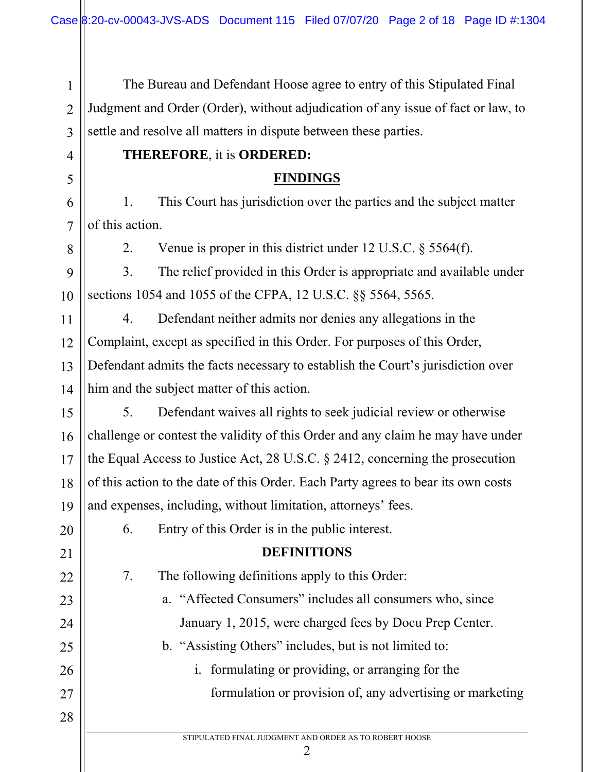STIPULATED FINAL JUDGMENT AND ORDER AS TO ROBERT HOOSE 2 1 2 3 4 5 6 7 8 9 10 11 12 13 14 15 16 17 18 19 20 21 22 23 24 25 26 27 28 The Bureau and Defendant Hoose agree to entry of this Stipulated Final Judgment and Order (Order), without adjudication of any issue of fact or law, to settle and resolve all matters in dispute between these parties. **THEREFORE**, it is **ORDERED: FINDINGS**  1. This Court has jurisdiction over the parties and the subject matter of this action. 2. Venue is proper in this district under 12 U.S.C. § 5564(f). 3. The relief provided in this Order is appropriate and available under sections 1054 and 1055 of the CFPA, 12 U.S.C. §§ 5564, 5565. 4. Defendant neither admits nor denies any allegations in the Complaint, except as specified in this Order. For purposes of this Order, Defendant admits the facts necessary to establish the Court's jurisdiction over him and the subject matter of this action. 5. Defendant waives all rights to seek judicial review or otherwise challenge or contest the validity of this Order and any claim he may have under the Equal Access to Justice Act, 28 U.S.C. § 2412, concerning the prosecution of this action to the date of this Order. Each Party agrees to bear its own costs and expenses, including, without limitation, attorneys' fees. 6. Entry of this Order is in the public interest. **DEFINITIONS**  7. The following definitions apply to this Order: a. "Affected Consumers" includes all consumers who, since January 1, 2015, were charged fees by Docu Prep Center. b. "Assisting Others" includes, but is not limited to: i. formulating or providing, or arranging for the formulation or provision of, any advertising or marketing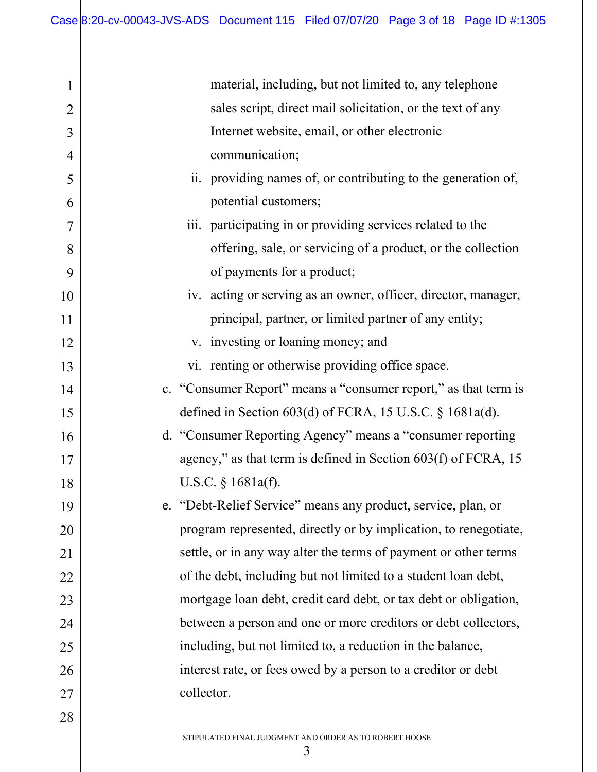| $\mathbf 1$    | material, including, but not limited to, any telephone           |
|----------------|------------------------------------------------------------------|
| $\overline{2}$ | sales script, direct mail solicitation, or the text of any       |
| 3              | Internet website, email, or other electronic                     |
| $\overline{4}$ | communication;                                                   |
| 5              | ii. providing names of, or contributing to the generation of,    |
| 6              | potential customers;                                             |
| 7              | iii. participating in or providing services related to the       |
| 8              | offering, sale, or servicing of a product, or the collection     |
| 9              | of payments for a product;                                       |
| 10             | iv. acting or serving as an owner, officer, director, manager,   |
| 11             | principal, partner, or limited partner of any entity;            |
| 12             | v. investing or loaning money; and                               |
| 13             | vi. renting or otherwise providing office space.                 |
| 14             | c. "Consumer Report" means a "consumer report," as that term is  |
| 15             | defined in Section $603(d)$ of FCRA, 15 U.S.C. § 1681a(d).       |
| 16             | d. "Consumer Reporting Agency" means a "consumer reporting       |
| 17             | agency," as that term is defined in Section $603(f)$ of FCRA, 15 |
| 18             | U.S.C. $\S$ 1681a(f).                                            |
| 19             | "Debt-Relief Service" means any product, service, plan, or<br>e. |
| 20             | program represented, directly or by implication, to renegotiate, |
| 21             | settle, or in any way alter the terms of payment or other terms  |
| 22             | of the debt, including but not limited to a student loan debt,   |
| 23             | mortgage loan debt, credit card debt, or tax debt or obligation, |
| 24             | between a person and one or more creditors or debt collectors,   |
| 25             | including, but not limited to, a reduction in the balance,       |
| 26             | interest rate, or fees owed by a person to a creditor or debt    |
| 27             | collector.                                                       |
| 28             |                                                                  |
|                | STIPULATED FINAL JUDGMENT AND ORDER AS TO ROBERT HOOSE           |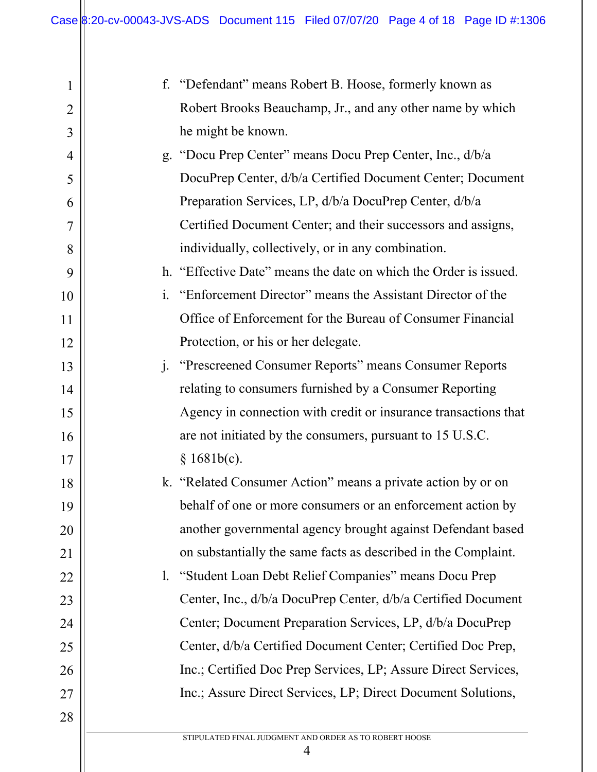| 1              | f. "Defendant" means Robert B. Hoose, formerly known as                      |
|----------------|------------------------------------------------------------------------------|
| $\overline{2}$ | Robert Brooks Beauchamp, Jr., and any other name by which                    |
| 3              | he might be known.                                                           |
| $\overline{4}$ | g. "Docu Prep Center" means Docu Prep Center, Inc., d/b/a                    |
| 5              | DocuPrep Center, d/b/a Certified Document Center; Document                   |
| 6              | Preparation Services, LP, d/b/a DocuPrep Center, d/b/a                       |
| 7              | Certified Document Center; and their successors and assigns,                 |
| 8              | individually, collectively, or in any combination.                           |
| 9              | h. "Effective Date" means the date on which the Order is issued.             |
| 10             | "Enforcement Director" means the Assistant Director of the<br>$\mathbf{i}$ . |
| 11             | Office of Enforcement for the Bureau of Consumer Financial                   |
| 12             | Protection, or his or her delegate.                                          |
| 13             | $j$ .<br>"Prescreened Consumer Reports" means Consumer Reports               |
| 14             | relating to consumers furnished by a Consumer Reporting                      |
| 15             | Agency in connection with credit or insurance transactions that              |
| 16             | are not initiated by the consumers, pursuant to 15 U.S.C.                    |
| 17             | § 1681b(c).                                                                  |
| 18             | k. "Related Consumer Action" means a private action by or on                 |
| 19             | behalf of one or more consumers or an enforcement action by                  |
| 20             | another governmental agency brought against Defendant based                  |
| 21             | on substantially the same facts as described in the Complaint.               |
| 22             | 1. "Student Loan Debt Relief Companies" means Docu Prep                      |
| 23             | Center, Inc., d/b/a DocuPrep Center, d/b/a Certified Document                |
| 24             | Center; Document Preparation Services, LP, d/b/a DocuPrep                    |
| 25             | Center, d/b/a Certified Document Center; Certified Doc Prep,                 |
| 26             | Inc.; Certified Doc Prep Services, LP; Assure Direct Services,               |
| 27             | Inc.; Assure Direct Services, LP; Direct Document Solutions,                 |
| 28             |                                                                              |
|                | STIPULATED FINAL JUDGMENT AND ORDER AS TO ROBERT HOOSE                       |

4

 $\parallel$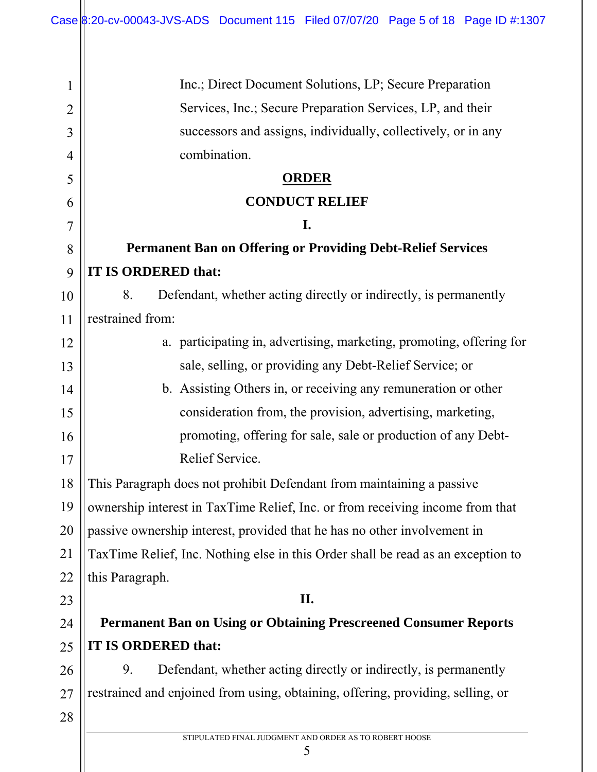| 1              | Inc.; Direct Document Solutions, LP; Secure Preparation                          |
|----------------|----------------------------------------------------------------------------------|
| $\overline{2}$ | Services, Inc.; Secure Preparation Services, LP, and their                       |
| 3              | successors and assigns, individually, collectively, or in any                    |
| 4              | combination.                                                                     |
| 5              | <b>ORDER</b>                                                                     |
| 6              | <b>CONDUCT RELIEF</b>                                                            |
| 7              | I.                                                                               |
| 8              | <b>Permanent Ban on Offering or Providing Debt-Relief Services</b>               |
| 9              | IT IS ORDERED that:                                                              |
| 10             | Defendant, whether acting directly or indirectly, is permanently<br>8.           |
| 11             | restrained from:                                                                 |
| 12             | a. participating in, advertising, marketing, promoting, offering for             |
| 13             | sale, selling, or providing any Debt-Relief Service; or                          |
| 14             | b. Assisting Others in, or receiving any remuneration or other                   |
| 15             | consideration from, the provision, advertising, marketing,                       |
| 16             | promoting, offering for sale, sale or production of any Debt-                    |
| 17             | Relief Service.                                                                  |
| 18             | This Paragraph does not prohibit Defendant from maintaining a passive            |
| 19             | ownership interest in TaxTime Relief, Inc. or from receiving income from that    |
| 20             | passive ownership interest, provided that he has no other involvement in         |
| 21             | TaxTime Relief, Inc. Nothing else in this Order shall be read as an exception to |
| 22             | this Paragraph.                                                                  |
| 23             | II.                                                                              |
| 24             | <b>Permanent Ban on Using or Obtaining Prescreened Consumer Reports</b>          |
| 25             | IT IS ORDERED that:                                                              |
| 26             | 9.<br>Defendant, whether acting directly or indirectly, is permanently           |
| 27             | restrained and enjoined from using, obtaining, offering, providing, selling, or  |
| 28             |                                                                                  |
|                | STIPULATED FINAL JUDGMENT AND ORDER AS TO ROBERT HOOSE<br>5                      |
|                |                                                                                  |

 $\parallel$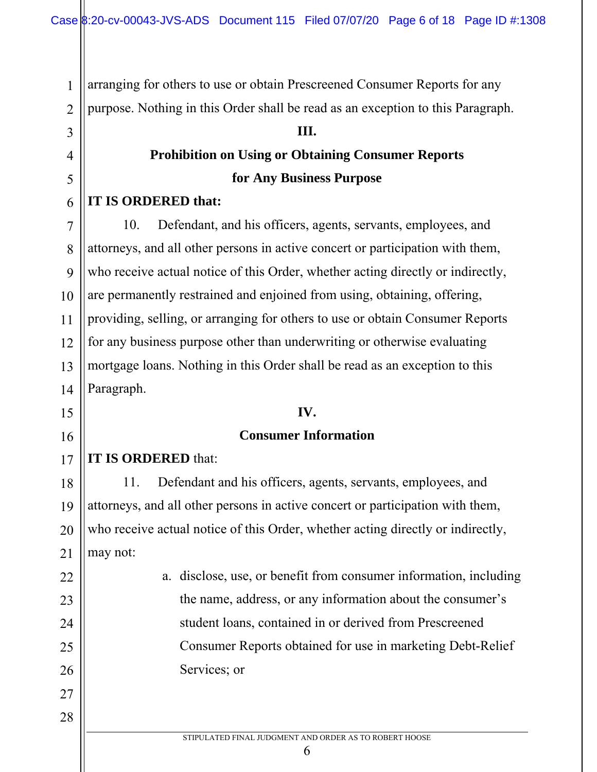arranging for others to use or obtain Prescreened Consumer Reports for any purpose. Nothing in this Order shall be read as an exception to this Paragraph.

#### **III.**

## **Prohibition on Using or Obtaining Consumer Reports for Any Business Purpose**

#### **IT IS ORDERED that:**

1

2

3

4

5

6

7

8

9

10

11

12

13

14

15

16

22

23

24

25

26

27

28

10. Defendant, and his officers, agents, servants, employees, and attorneys, and all other persons in active concert or participation with them, who receive actual notice of this Order, whether acting directly or indirectly, are permanently restrained and enjoined from using, obtaining, offering, providing, selling, or arranging for others to use or obtain Consumer Reports for any business purpose other than underwriting or otherwise evaluating mortgage loans. Nothing in this Order shall be read as an exception to this Paragraph.

#### **IV.**

#### **Consumer Information**

17 **IT IS ORDERED** that:

18 19 20 21 11. Defendant and his officers, agents, servants, employees, and attorneys, and all other persons in active concert or participation with them, who receive actual notice of this Order, whether acting directly or indirectly, may not:

> a. disclose, use, or benefit from consumer information, including the name, address, or any information about the consumer's student loans, contained in or derived from Prescreened Consumer Reports obtained for use in marketing Debt-Relief Services; or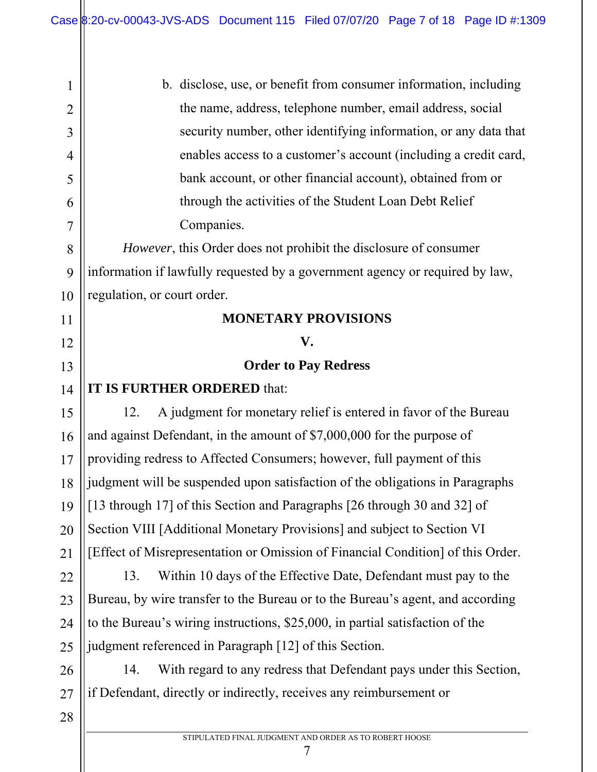| 1              | b. disclose, use, or benefit from consumer information, including               |
|----------------|---------------------------------------------------------------------------------|
| $\overline{2}$ | the name, address, telephone number, email address, social                      |
| 3              | security number, other identifying information, or any data that                |
| $\overline{4}$ | enables access to a customer's account (including a credit card,                |
| 5              | bank account, or other financial account), obtained from or                     |
| 6              | through the activities of the Student Loan Debt Relief                          |
| 7              | Companies.                                                                      |
| 8              | <i>However</i> , this Order does not prohibit the disclosure of consumer        |
| 9              | information if lawfully requested by a government agency or required by law,    |
| 10             | regulation, or court order.                                                     |
| 11             | <b>MONETARY PROVISIONS</b>                                                      |
| 12             | V.                                                                              |
| 13             | <b>Order to Pay Redress</b>                                                     |
| 14             | IT IS FURTHER ORDERED that:                                                     |
| 15             | A judgment for monetary relief is entered in favor of the Bureau<br>12.         |
| 16             | and against Defendant, in the amount of \$7,000,000 for the purpose of          |
| 17             | providing redress to Affected Consumers; however, full payment of this          |
| 18             | judgment will be suspended upon satisfaction of the obligations in Paragraphs   |
|                | 19    [13 through 17] of this Section and Paragraphs [26 through 30 and 32] of  |
| 20             | Section VIII [Additional Monetary Provisions] and subject to Section VI         |
| 21             | [Effect of Misrepresentation or Omission of Financial Condition] of this Order. |
| 22             | Within 10 days of the Effective Date, Defendant must pay to the<br>13.          |
| 23             | Bureau, by wire transfer to the Bureau or to the Bureau's agent, and according  |
| 24             | to the Bureau's wiring instructions, \$25,000, in partial satisfaction of the   |
| 25             | judgment referenced in Paragraph [12] of this Section.                          |
| 26             | With regard to any redress that Defendant pays under this Section,<br>14.       |
| $27\,$         | if Defendant, directly or indirectly, receives any reimbursement or             |
| 28             |                                                                                 |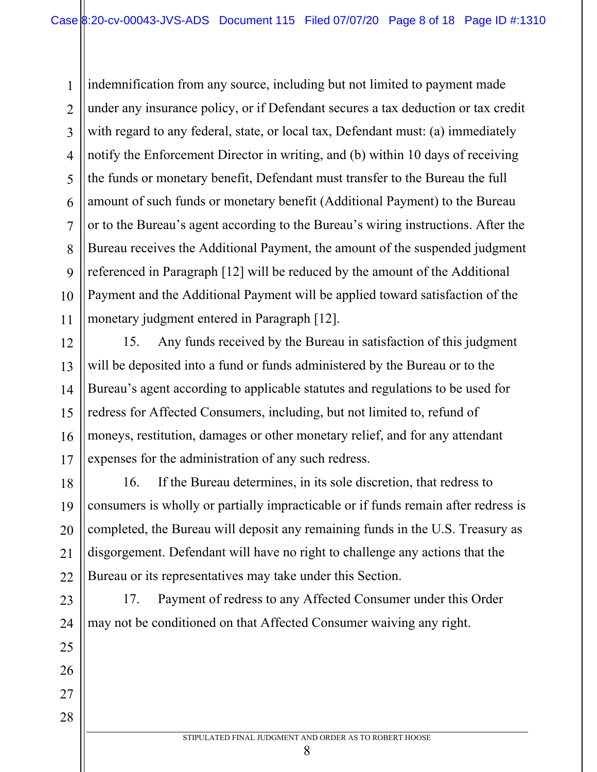1 2 3 4 5 6 7 8 9 10 11 indemnification from any source, including but not limited to payment made under any insurance policy, or if Defendant secures a tax deduction or tax credit with regard to any federal, state, or local tax, Defendant must: (a) immediately notify the Enforcement Director in writing, and (b) within 10 days of receiving the funds or monetary benefit, Defendant must transfer to the Bureau the full amount of such funds or monetary benefit (Additional Payment) to the Bureau or to the Bureau's agent according to the Bureau's wiring instructions. After the Bureau receives the Additional Payment, the amount of the suspended judgment referenced in Paragraph [12] will be reduced by the amount of the Additional Payment and the Additional Payment will be applied toward satisfaction of the monetary judgment entered in Paragraph [12].

15. Any funds received by the Bureau in satisfaction of this judgment will be deposited into a fund or funds administered by the Bureau or to the Bureau's agent according to applicable statutes and regulations to be used for redress for Affected Consumers, including, but not limited to, refund of moneys, restitution, damages or other monetary relief, and for any attendant expenses for the administration of any such redress.

12

13

14

15

16

17

23

24

25

26

27

28

18 19 20 21 22 16. If the Bureau determines, in its sole discretion, that redress to consumers is wholly or partially impracticable or if funds remain after redress is completed, the Bureau will deposit any remaining funds in the U.S. Treasury as disgorgement. Defendant will have no right to challenge any actions that the Bureau or its representatives may take under this Section.

17. Payment of redress to any Affected Consumer under this Order may not be conditioned on that Affected Consumer waiving any right.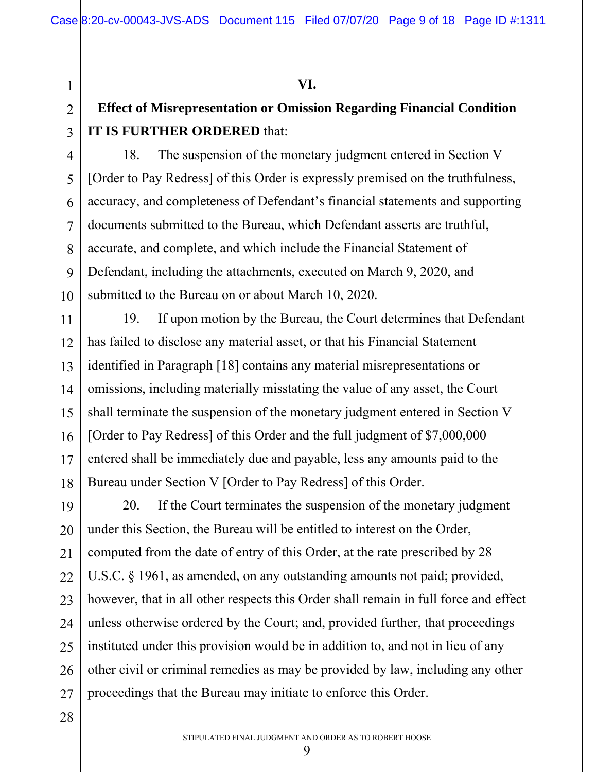**VI.** 

# **Effect of Misrepresentation or Omission Regarding Financial Condition IT IS FURTHER ORDERED** that:

18. The suspension of the monetary judgment entered in Section V [Order to Pay Redress] of this Order is expressly premised on the truthfulness, accuracy, and completeness of Defendant's financial statements and supporting documents submitted to the Bureau, which Defendant asserts are truthful, accurate, and complete, and which include the Financial Statement of Defendant, including the attachments, executed on March 9, 2020, and submitted to the Bureau on or about March 10, 2020.

14 18 19. If upon motion by the Bureau, the Court determines that Defendant has failed to disclose any material asset, or that his Financial Statement identified in Paragraph [18] contains any material misrepresentations or omissions, including materially misstating the value of any asset, the Court shall terminate the suspension of the monetary judgment entered in Section V [Order to Pay Redress] of this Order and the full judgment of \$7,000,000 entered shall be immediately due and payable, less any amounts paid to the Bureau under Section V [Order to Pay Redress] of this Order.

19 20 21 22 23 24 25 26 27 20. If the Court terminates the suspension of the monetary judgment under this Section, the Bureau will be entitled to interest on the Order, computed from the date of entry of this Order, at the rate prescribed by 28 U.S.C. § 1961, as amended, on any outstanding amounts not paid; provided, however, that in all other respects this Order shall remain in full force and effect unless otherwise ordered by the Court; and, provided further, that proceedings instituted under this provision would be in addition to, and not in lieu of any other civil or criminal remedies as may be provided by law, including any other proceedings that the Bureau may initiate to enforce this Order.

28

1

2

3

4

5

6

7

8

9

10

11

12

13

15

16

17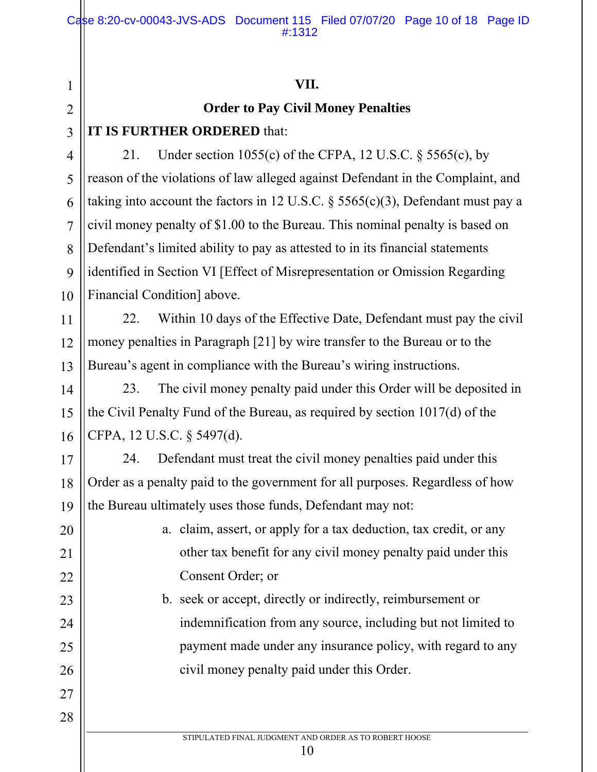#### **VII.**

#### **Order to Pay Civil Money Penalties**

### **IT IS FURTHER ORDERED** that:

1

2

3

4

5

6

7

8

9

10

11

12

13

14

15

16

17

18

19

20

21

22

23

24

25

26

27

28

21. Under section 1055(c) of the CFPA, 12 U.S.C.  $\S$  5565(c), by reason of the violations of law alleged against Defendant in the Complaint, and taking into account the factors in 12 U.S.C. § 5565(c)(3), Defendant must pay a civil money penalty of \$1.00 to the Bureau. This nominal penalty is based on Defendant's limited ability to pay as attested to in its financial statements identified in Section VI [Effect of Misrepresentation or Omission Regarding Financial Condition] above.

22. Within 10 days of the Effective Date, Defendant must pay the civil money penalties in Paragraph [21] by wire transfer to the Bureau or to the Bureau's agent in compliance with the Bureau's wiring instructions.

23. The civil money penalty paid under this Order will be deposited in the Civil Penalty Fund of the Bureau, as required by section 1017(d) of the CFPA, 12 U.S.C. § 5497(d).

24. Defendant must treat the civil money penalties paid under this Order as a penalty paid to the government for all purposes. Regardless of how the Bureau ultimately uses those funds, Defendant may not:

> a. claim, assert, or apply for a tax deduction, tax credit, or any other tax benefit for any civil money penalty paid under this Consent Order; or

b. seek or accept, directly or indirectly, reimbursement or indemnification from any source, including but not limited to payment made under any insurance policy, with regard to any civil money penalty paid under this Order.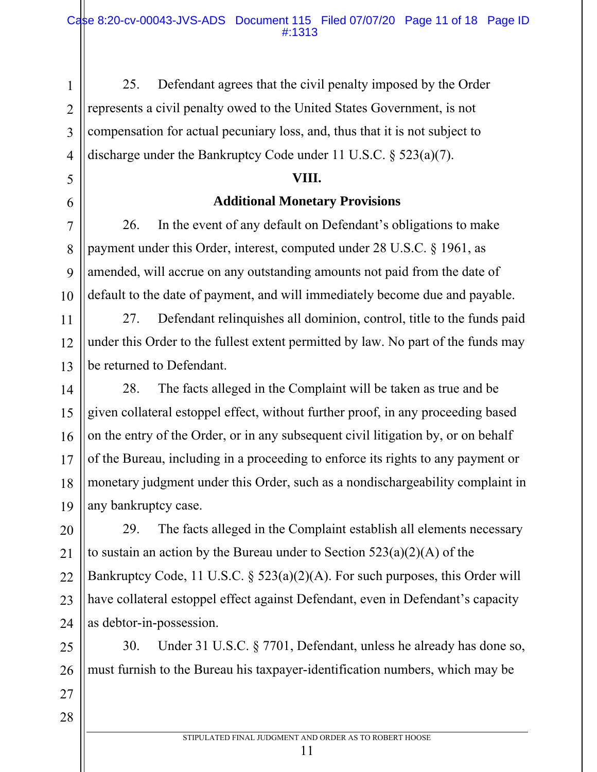25. Defendant agrees that the civil penalty imposed by the Order represents a civil penalty owed to the United States Government, is not compensation for actual pecuniary loss, and, thus that it is not subject to discharge under the Bankruptcy Code under 11 U.S.C. § 523(a)(7).

#### **VIII.**

#### **Additional Monetary Provisions**

26. In the event of any default on Defendant's obligations to make payment under this Order, interest, computed under 28 U.S.C. § 1961, as amended, will accrue on any outstanding amounts not paid from the date of default to the date of payment, and will immediately become due and payable.

27. Defendant relinquishes all dominion, control, title to the funds paid under this Order to the fullest extent permitted by law. No part of the funds may be returned to Defendant.

28. The facts alleged in the Complaint will be taken as true and be given collateral estoppel effect, without further proof, in any proceeding based on the entry of the Order, or in any subsequent civil litigation by, or on behalf of the Bureau, including in a proceeding to enforce its rights to any payment or monetary judgment under this Order, such as a nondischargeability complaint in any bankruptcy case.

29. The facts alleged in the Complaint establish all elements necessary to sustain an action by the Bureau under to Section  $523(a)(2)(A)$  of the Bankruptcy Code, 11 U.S.C. § 523(a)(2)(A). For such purposes, this Order will have collateral estoppel effect against Defendant, even in Defendant's capacity as debtor-in-possession.

30. Under 31 U.S.C. § 7701, Defendant, unless he already has done so, must furnish to the Bureau his taxpayer-identification numbers, which may be

28

1

2

3

4

5

6

7

8

9

10

11

12

STIPULATED FINAL JUDGMENT AND ORDER AS TO ROBERT HOOSE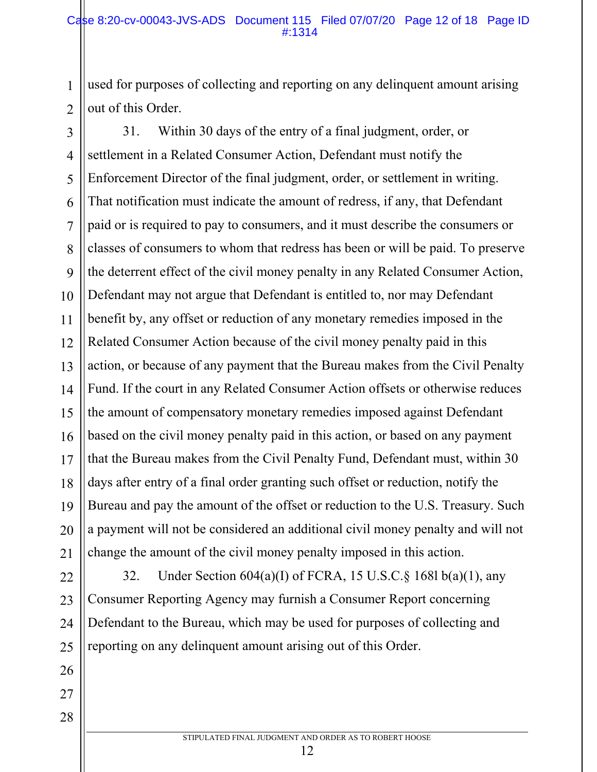used for purposes of collecting and reporting on any delinquent amount arising out of this Order.

1

2

26

27

28

3 4 5 6 7 8 9 10 11 12 13 14 15 16 17 18 19 20 21 31. Within 30 days of the entry of a final judgment, order, or settlement in a Related Consumer Action, Defendant must notify the Enforcement Director of the final judgment, order, or settlement in writing. That notification must indicate the amount of redress, if any, that Defendant paid or is required to pay to consumers, and it must describe the consumers or classes of consumers to whom that redress has been or will be paid. To preserve the deterrent effect of the civil money penalty in any Related Consumer Action, Defendant may not argue that Defendant is entitled to, nor may Defendant benefit by, any offset or reduction of any monetary remedies imposed in the Related Consumer Action because of the civil money penalty paid in this action, or because of any payment that the Bureau makes from the Civil Penalty Fund. If the court in any Related Consumer Action offsets or otherwise reduces the amount of compensatory monetary remedies imposed against Defendant based on the civil money penalty paid in this action, or based on any payment that the Bureau makes from the Civil Penalty Fund, Defendant must, within 30 days after entry of a final order granting such offset or reduction, notify the Bureau and pay the amount of the offset or reduction to the U.S. Treasury. Such a payment will not be considered an additional civil money penalty and will not change the amount of the civil money penalty imposed in this action.

22 23 24 25 32. Under Section 604(a)(I) of FCRA, 15 U.S.C.§ 168l b(a)(1), any Consumer Reporting Agency may furnish a Consumer Report concerning Defendant to the Bureau, which may be used for purposes of collecting and reporting on any delinquent amount arising out of this Order.

STIPULATED FINAL JUDGMENT AND ORDER AS TO ROBERT HOOSE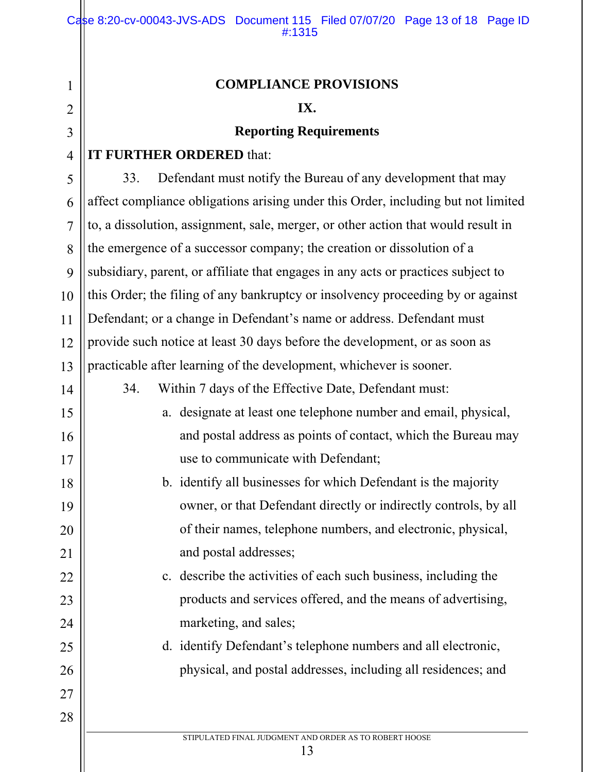# **COMPLIANCE PROVISIONS**

#### **IX.**

#### **Reporting Requirements**

#### **IT FURTHER ORDERED** that:

1

2

3

4

5

6

7

8

9

10

11

12

13

14

15

16

17

18

19

20

21

22

23

24

25

26

27

28

33. Defendant must notify the Bureau of any development that may affect compliance obligations arising under this Order, including but not limited to, a dissolution, assignment, sale, merger, or other action that would result in the emergence of a successor company; the creation or dissolution of a subsidiary, parent, or affiliate that engages in any acts or practices subject to this Order; the filing of any bankruptcy or insolvency proceeding by or against Defendant; or a change in Defendant's name or address. Defendant must provide such notice at least 30 days before the development, or as soon as practicable after learning of the development, whichever is sooner.

- 34. Within 7 days of the Effective Date, Defendant must:
	- a. designate at least one telephone number and email, physical, and postal address as points of contact, which the Bureau may use to communicate with Defendant;
	- b. identify all businesses for which Defendant is the majority owner, or that Defendant directly or indirectly controls, by all of their names, telephone numbers, and electronic, physical, and postal addresses;
	- c. describe the activities of each such business, including the products and services offered, and the means of advertising, marketing, and sales;
		- d. identify Defendant's telephone numbers and all electronic, physical, and postal addresses, including all residences; and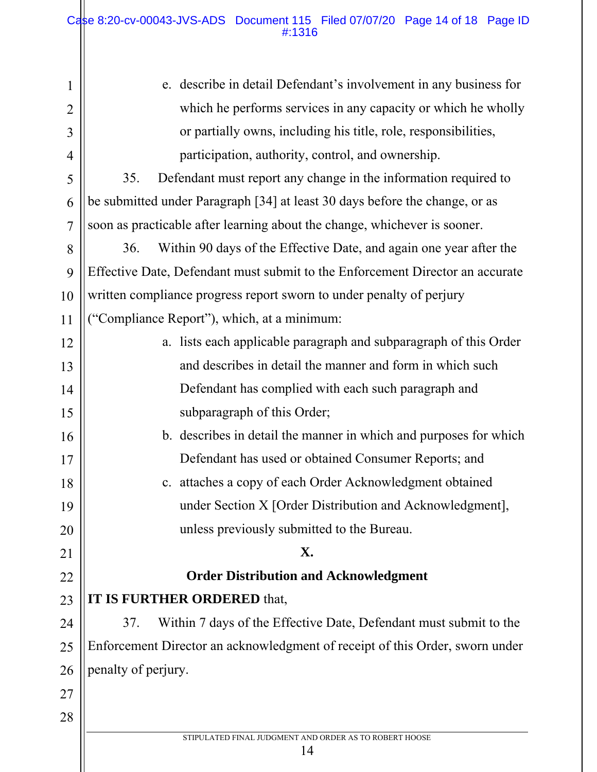$\mathbf{\mathsf{I}}$ 

| 1              | e. describe in detail Defendant's involvement in any business for             |
|----------------|-------------------------------------------------------------------------------|
| $\overline{2}$ | which he performs services in any capacity or which he wholly                 |
| 3              | or partially owns, including his title, role, responsibilities,               |
| $\overline{4}$ | participation, authority, control, and ownership.                             |
| 5              | 35.<br>Defendant must report any change in the information required to        |
| 6              | be submitted under Paragraph [34] at least 30 days before the change, or as   |
| $\overline{7}$ | soon as practicable after learning about the change, whichever is sooner.     |
| 8              | Within 90 days of the Effective Date, and again one year after the<br>36.     |
| 9              | Effective Date, Defendant must submit to the Enforcement Director an accurate |
| 10             | written compliance progress report sworn to under penalty of perjury          |
| 11             | "Compliance Report"), which, at a minimum:                                    |
| 12             | a. lists each applicable paragraph and subparagraph of this Order             |
| 13             | and describes in detail the manner and form in which such                     |
| 14             | Defendant has complied with each such paragraph and                           |
| 15             | subparagraph of this Order;                                                   |
| 16             | b. describes in detail the manner in which and purposes for which             |
| 17             | Defendant has used or obtained Consumer Reports; and                          |
| 18             | c. attaches a copy of each Order Acknowledgment obtained                      |
| 19             | under Section X [Order Distribution and Acknowledgment],                      |
| 20             | unless previously submitted to the Bureau.                                    |
| 21             | X.                                                                            |
| 22             | <b>Order Distribution and Acknowledgment</b>                                  |
| 23             | IT IS FURTHER ORDERED that,                                                   |
| 24             | Within 7 days of the Effective Date, Defendant must submit to the<br>37.      |
| 25             | Enforcement Director an acknowledgment of receipt of this Order, sworn under  |
| 26             | penalty of perjury.                                                           |
| 27             |                                                                               |
| 28             |                                                                               |
|                | STIPULATED FINAL JUDGMENT AND ORDER AS TO ROBERT HOOSE<br>14                  |
|                |                                                                               |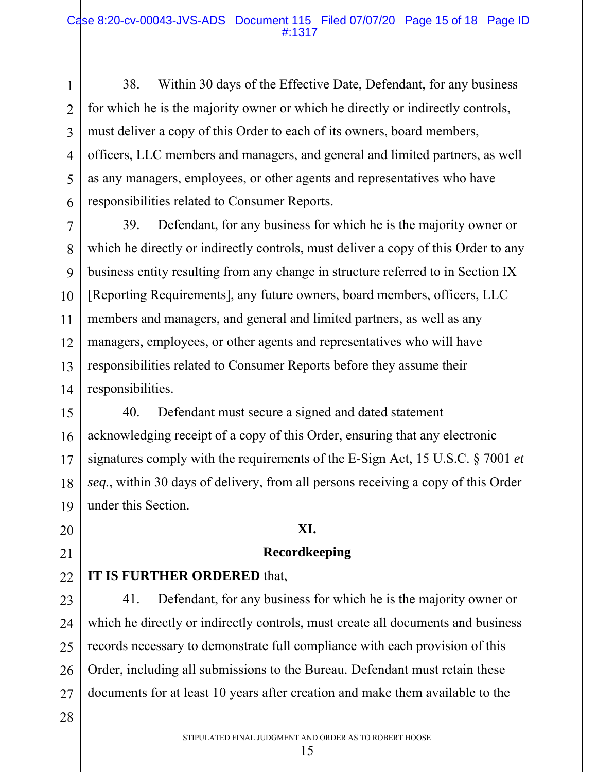38. Within 30 days of the Effective Date, Defendant, for any business for which he is the majority owner or which he directly or indirectly controls, must deliver a copy of this Order to each of its owners, board members, officers, LLC members and managers, and general and limited partners, as well as any managers, employees, or other agents and representatives who have responsibilities related to Consumer Reports.

7 8 9 10 11 12 13 14 39. Defendant, for any business for which he is the majority owner or which he directly or indirectly controls, must deliver a copy of this Order to any business entity resulting from any change in structure referred to in Section IX [Reporting Requirements], any future owners, board members, officers, LLC members and managers, and general and limited partners, as well as any managers, employees, or other agents and representatives who will have responsibilities related to Consumer Reports before they assume their responsibilities.

15 16 17 18 19 40. Defendant must secure a signed and dated statement acknowledging receipt of a copy of this Order, ensuring that any electronic signatures comply with the requirements of the E-Sign Act, 15 U.S.C. § 7001 *et seq.*, within 30 days of delivery, from all persons receiving a copy of this Order under this Section.

#### **XI.**

#### **Recordkeeping**

#### 22 **IT IS FURTHER ORDERED** that,

23 24 25 26 27 41. Defendant, for any business for which he is the majority owner or which he directly or indirectly controls, must create all documents and business records necessary to demonstrate full compliance with each provision of this Order, including all submissions to the Bureau. Defendant must retain these documents for at least 10 years after creation and make them available to the

28

20

21

1

2

3

4

5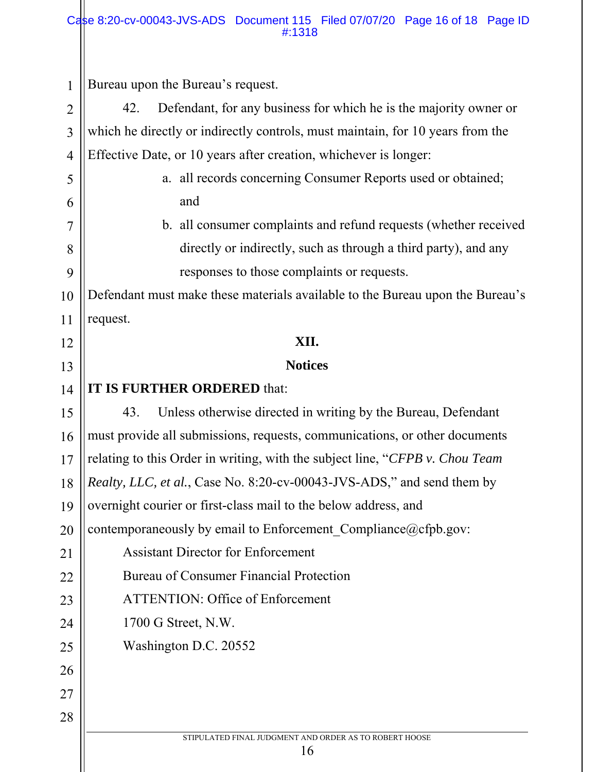#### Case 8:20-cv-00043-JVS-ADS Document 115 Filed 07/07/20 Page 16 of 18 Page ID #:1318

| $\mathbf 1$    | Bureau upon the Bureau's request.                                              |
|----------------|--------------------------------------------------------------------------------|
| $\overline{2}$ | 42.<br>Defendant, for any business for which he is the majority owner or       |
| 3              | which he directly or indirectly controls, must maintain, for 10 years from the |
| $\overline{4}$ | Effective Date, or 10 years after creation, whichever is longer:               |
| 5              | a. all records concerning Consumer Reports used or obtained;                   |
| 6              | and                                                                            |
| 7              | b. all consumer complaints and refund requests (whether received               |
| 8              | directly or indirectly, such as through a third party), and any                |
| 9              | responses to those complaints or requests.                                     |
| 10             | Defendant must make these materials available to the Bureau upon the Bureau's  |
| 11             | request.                                                                       |
| 12             | XII.                                                                           |
| 13             | <b>Notices</b>                                                                 |
| 14             | <b>IT IS FURTHER ORDERED that:</b>                                             |
| 15             | Unless otherwise directed in writing by the Bureau, Defendant<br>43.           |
| 16             | must provide all submissions, requests, communications, or other documents     |
| 17             | relating to this Order in writing, with the subject line, "CFPB v. Chou Team"  |
| 18             | <i>Realty, LLC, et al., Case No. 8:20-cv-00043-JVS-ADS,"</i> and send them by  |
| 19             | overnight courier or first-class mail to the below address, and                |
| 20             | contemporaneously by email to Enforcement_Compliance@cfpb.gov:                 |
| 21             | <b>Assistant Director for Enforcement</b>                                      |
| 22             | <b>Bureau of Consumer Financial Protection</b>                                 |
| 23             | <b>ATTENTION: Office of Enforcement</b>                                        |
| 24             | 1700 G Street, N.W.                                                            |
| 25             | Washington D.C. 20552                                                          |
| 26             |                                                                                |
| 27             |                                                                                |
| 28             |                                                                                |
|                | STIPULATED FINAL JUDGMENT AND ORDER AS TO ROBERT HOOSE<br>16                   |
|                |                                                                                |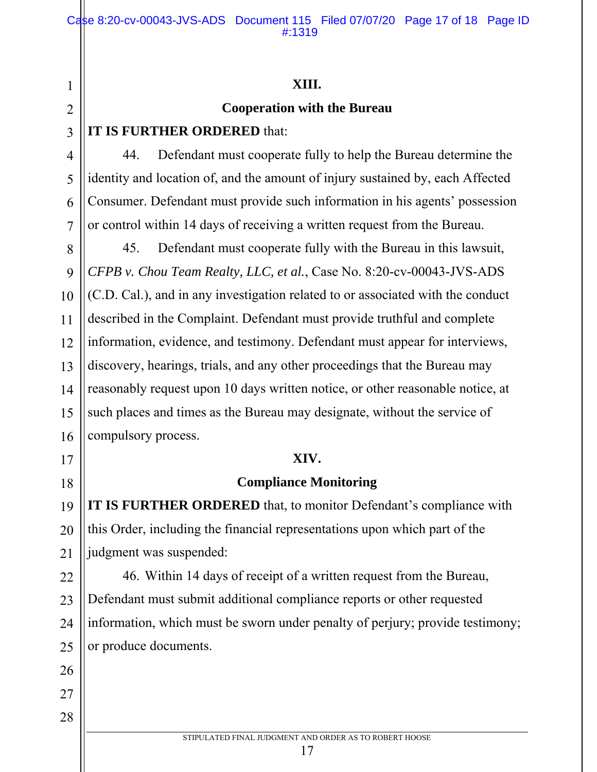#### **XIII.**

#### **Cooperation with the Bureau**

#### **IT IS FURTHER ORDERED** that:

1

2

3

4

5

6

7

8

9

10

11

12

13

15

16

17

18

19

20

21

22

23

24

25

26

44. Defendant must cooperate fully to help the Bureau determine the identity and location of, and the amount of injury sustained by, each Affected Consumer. Defendant must provide such information in his agents' possession or control within 14 days of receiving a written request from the Bureau.

14 45. Defendant must cooperate fully with the Bureau in this lawsuit, *CFPB v. Chou Team Realty, LLC, et al.*, Case No. 8:20-cv-00043-JVS-ADS (C.D. Cal.), and in any investigation related to or associated with the conduct described in the Complaint. Defendant must provide truthful and complete information, evidence, and testimony. Defendant must appear for interviews, discovery, hearings, trials, and any other proceedings that the Bureau may reasonably request upon 10 days written notice, or other reasonable notice, at such places and times as the Bureau may designate, without the service of compulsory process.

#### **XIV.**

#### **Compliance Monitoring**

**IT IS FURTHER ORDERED** that, to monitor Defendant's compliance with this Order, including the financial representations upon which part of the judgment was suspended:

46. Within 14 days of receipt of a written request from the Bureau, Defendant must submit additional compliance reports or other requested information, which must be sworn under penalty of perjury; provide testimony; or produce documents.